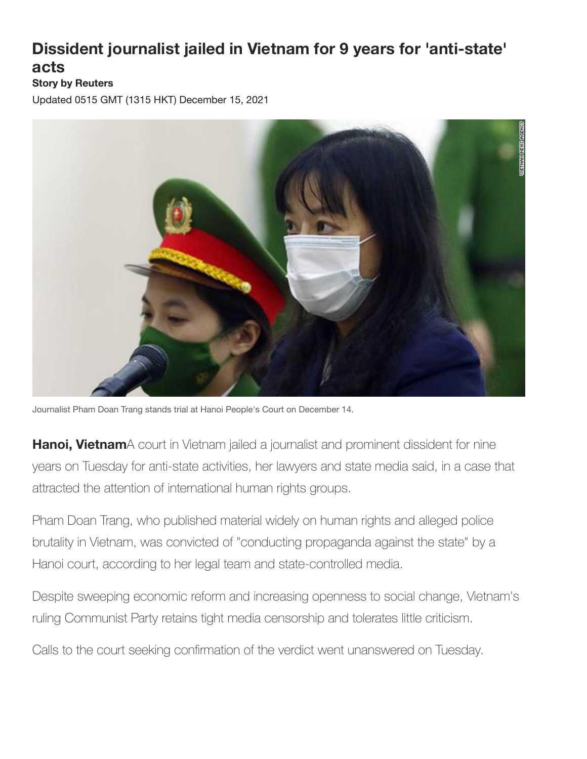## **Dissident journalist jailed in Vietnam for 9 years for 'anti-state' acts**

## **Story by Reuters**

Updated 0515 GMT (1315 HKT) December 15, 2021



Journalist Pham Doan Trang stands trial at Hanoi People's Court on December 14.

**Hanoi, Vietnam**A court in Vietnam jailed a journalist and prominent dissident for nine years on Tuesday for anti-state activities, her lawyers and state media said, in a case that attracted the attention of international human rights groups.

Pham Doan Trang, who published material widely on human rights and alleged police brutality in Vietnam, was convicted of "conducting propaganda against the state" by a Hanoi court, according to her legal team and state-controlled media.

Despite sweeping economic reform and increasing openness to social change, Vietnam's ruling Communist Party retains tight media censorship and tolerates little criticism.

Calls to the court seeking confirmation of the verdict went unanswered on Tuesday.